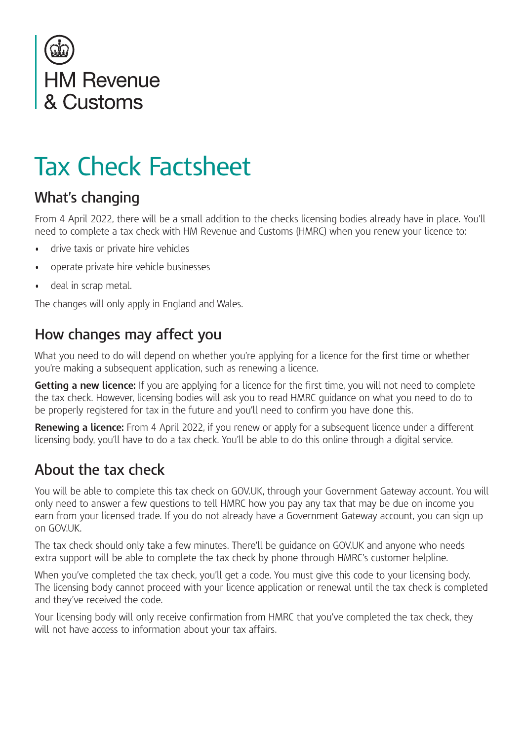

# Tax Check Factsheet

### **What's changing**

From 4 April 2022, there will be a small addition to the checks licensing bodies already have in place. You'll need to complete a tax check with HM Revenue and Customs (HMRC) when you renew your licence to:

- drive taxis or private hire vehicles
- operate private hire vehicle businesses
- deal in scrap metal.

The changes will only apply in England and Wales.

#### **How changes may affect you**

What you need to do will depend on whether you're applying for a licence for the first time or whether you're making a subsequent application, such as renewing a licence.

**Getting a new licence:** If you are applying for a licence for the first time, you will not need to complete the tax check. However, licensing bodies will ask you to read HMRC guidance on what you need to do to be properly registered for tax in the future and you'll need to confrm you have done this.

**Renewing a licence:** From 4 April 2022, if you renew or apply for a subsequent licence under a different licensing body, you'll have to do a tax check. You'll be able to do this online through a digital service.

#### **About the tax check**

You will be able to complete this tax check on GOV.UK, through your Government Gateway account. You will only need to answer a few questions to tell HMRC how you pay any tax that may be due on income you earn from your licensed trade. If you do not already have a Government Gateway account, you can sign up on GOV.UK.

The tax check should only take a few minutes. There'll be guidance on GOV.UK and anyone who needs extra support will be able to complete the tax check by phone through HMRC's customer helpline.

When you've completed the tax check, you'll get a code. You must give this code to your licensing body. The licensing body cannot proceed with your licence application or renewal until the tax check is completed and they've received the code.

Your licensing body will only receive confrmation from HMRC that you've completed the tax check, they will not have access to information about your tax affairs.